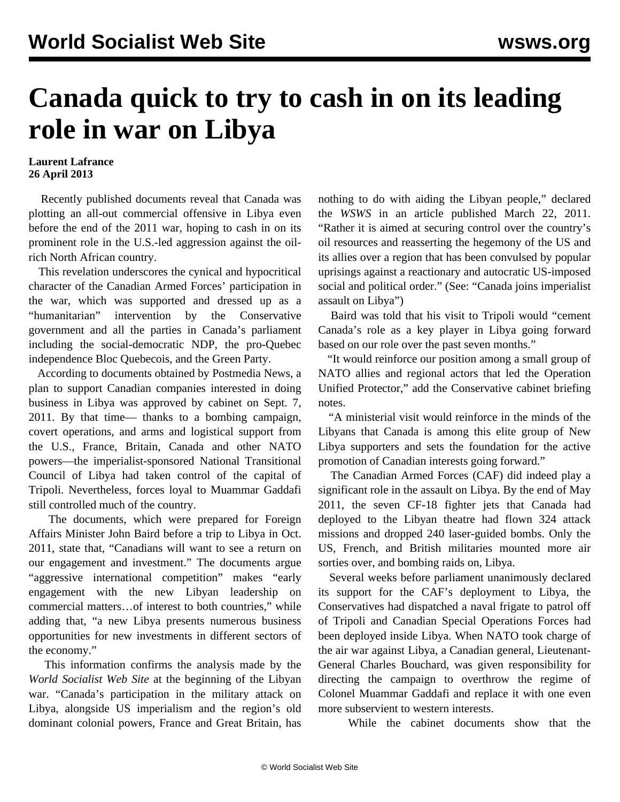## **Canada quick to try to cash in on its leading role in war on Libya**

## **Laurent Lafrance 26 April 2013**

 Recently published documents reveal that Canada was plotting an all-out commercial offensive in Libya even before the end of the 2011 war, hoping to cash in on its prominent role in the U.S.-led aggression against the oilrich North African country.

 This revelation underscores the cynical and hypocritical character of the Canadian Armed Forces' participation in the war, which was supported and dressed up as a "humanitarian" intervention by the Conservative government and all the parties in Canada's parliament including the social-democratic NDP, the pro-Quebec independence Bloc Quebecois, and the Green Party.

 According to documents obtained by Postmedia News, a plan to support Canadian companies interested in doing business in Libya was approved by cabinet on Sept. 7, 2011. By that time— thanks to a bombing campaign, covert operations, and arms and logistical support from the U.S., France, Britain, Canada and other NATO powers—the imperialist-sponsored National Transitional Council of Libya had taken control of the capital of Tripoli. Nevertheless, forces loyal to Muammar Gaddafi still controlled much of the country.

 The documents, which were prepared for Foreign Affairs Minister John Baird before a trip to Libya in Oct. 2011, state that, "Canadians will want to see a return on our engagement and investment." The documents argue "aggressive international competition" makes "early engagement with the new Libyan leadership on commercial matters…of interest to both countries," while adding that, "a new Libya presents numerous business opportunities for new investments in different sectors of the economy."

 This information confirms the analysis made by the *World Socialist Web Site* at the beginning of the Libyan war. "Canada's participation in the military attack on Libya, alongside US imperialism and the region's old dominant colonial powers, France and Great Britain, has

nothing to do with aiding the Libyan people," declared the *WSWS* in an article published March 22, 2011. "Rather it is aimed at securing control over the country's oil resources and reasserting the hegemony of the US and its allies over a region that has been convulsed by popular uprisings against a reactionary and autocratic US-imposed social and political order." (See: "[Canada joins imperialist](/en/articles/2011/03/clib-m22.html) [assault on Libya"](/en/articles/2011/03/clib-m22.html))

 Baird was told that his visit to Tripoli would "cement Canada's role as a key player in Libya going forward based on our role over the past seven months."

 "It would reinforce our position among a small group of NATO allies and regional actors that led the Operation Unified Protector," add the Conservative cabinet briefing notes.

 "A ministerial visit would reinforce in the minds of the Libyans that Canada is among this elite group of New Libya supporters and sets the foundation for the active promotion of Canadian interests going forward."

 The Canadian Armed Forces (CAF) did indeed play a significant role in the assault on Libya. By the end of May 2011, the seven CF-18 fighter jets that Canada had deployed to the Libyan theatre had flown 324 attack missions and dropped 240 laser-guided bombs. Only the US, French, and British militaries mounted more air sorties over, and bombing raids on, Libya.

 Several weeks before parliament unanimously declared its support for the CAF's deployment to Libya, the Conservatives had dispatched a naval frigate to patrol off of Tripoli and Canadian Special Operations Forces had been deployed inside Libya. When NATO took charge of the air war against Libya, a Canadian general, Lieutenant-General Charles Bouchard, was given responsibility for directing the campaign to overthrow the regime of Colonel Muammar Gaddafi and replace it with one even more subservient to western interests.

While the cabinet documents show that the